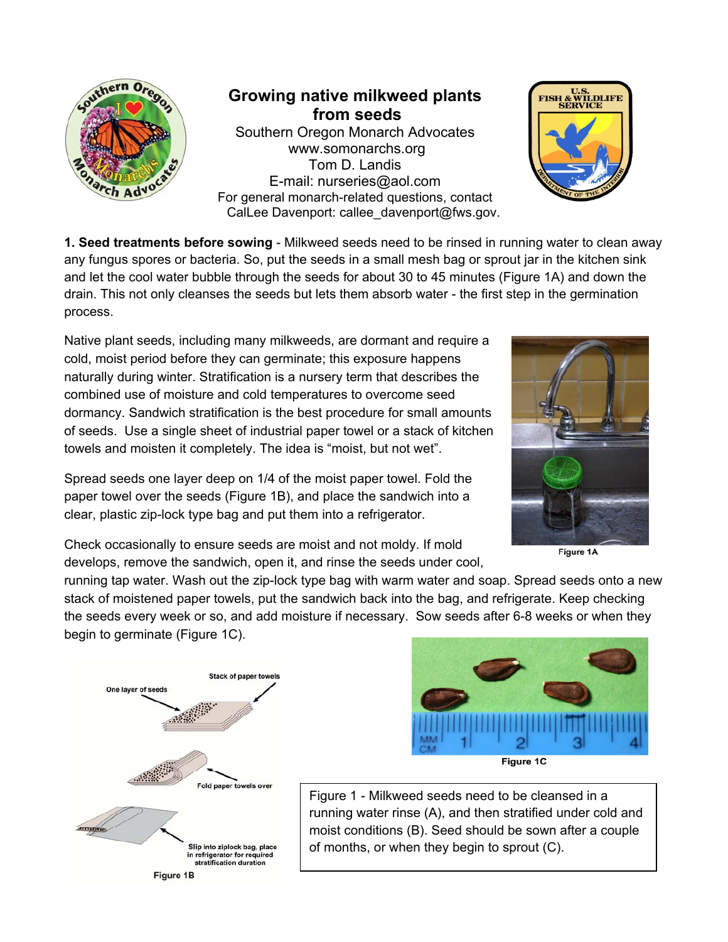

**Growing native milkweed plants from seeds**  Southern Oregon Monarch Advocates www.somonarchs.org Tom D. Landis E-mail: nurseries@aol.com For general monarch-related questions, contact CalLee Davenport: callee\_davenport@fws.gov.



**1. Seed treatments before sowing** - Milkweed seeds need to be rinsed in running water to clean away any fungus spores or bacteria. So, put the seeds in a small mesh bag or sprout jar in the kitchen sink and let the cool water bubble through the seeds for about 30 to 45 minutes (Figure 1A) and down the drain. This not only cleanses the seeds but lets them absorb water - the first step in the germination process.

Native plant seeds, including many milkweeds, are dormant and require a cold, moist period before they can germinate; this exposure happens naturally during winter. Stratification is a nursery term that describes the combined use of moisture and cold temperatures to overcome seed dormancy. Sandwich stratification is the best procedure for small amounts of seeds. Use a single sheet of industrial paper towel or a stack of kitchen towels and moisten it completely. The idea is "moist, but not wet".

Spread seeds one layer deep on 1/4 of the moist paper towel. Fold the paper towel over the seeds (Figure 1B), and place the sandwich into a clear, plastic zip-lock type bag and put them into a refrigerator.



Figure 1A

Check occasionally to ensure seeds are moist and not moldy. If mold develops, remove the sandwich, open it, and rinse the seeds under cool,

running tap water. Wash out the zip-lock type bag with warm water and soap. Spread seeds onto a new stack of moistened paper towels, put the sandwich back into the bag, and refrigerate. Keep checking the seeds every week or so, and add moisture if necessary. Sow seeds after 6-8 weeks or when they begin to germinate (Figure 1C).





Figure 1 - Milkweed seeds need to be cleansed in a running water rinse (A), and then stratified under cold and moist conditions (B). Seed should be sown after a couple of months, or when they begin to sprout (C).